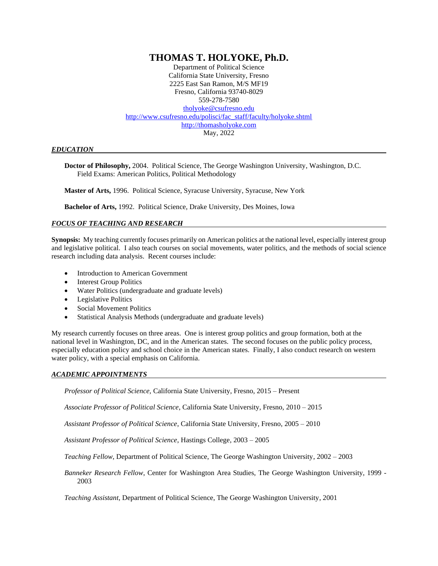# **THOMAS T. HOLYOKE, Ph.D.**

Department of Political Science California State University, Fresno 2225 East San Ramon, M/S MF19 Fresno, California 93740-8029 559-278-7580 [tholyoke@csufresno.edu](mailto:tholyoke@csufresno.edu) [http://www.csufresno.edu/polisci/fac\\_staff/faculty/holyoke.shtml](http://www.csufresno.edu/polisci/fac_staff/faculty/holyoke.shtml) http://thomasholyoke.com May, 2022

## *EDUCATION*

**Doctor of Philosophy,** 2004. Political Science, The George Washington University, Washington, D.C. Field Exams: American Politics, Political Methodology

**Master of Arts,** 1996. Political Science, Syracuse University, Syracuse, New York

**Bachelor of Arts,** 1992. Political Science, Drake University, Des Moines, Iowa

## *FOCUS OF TEACHING AND RESEARCH*

**Synopsis:** My teaching currently focuses primarily on American politics at the national level, especially interest group and legislative political. I also teach courses on social movements, water politics, and the methods of social science research including data analysis. Recent courses include:

- Introduction to American Government
- **Interest Group Politics**
- Water Politics (undergraduate and graduate levels)
- Legislative Politics
- Social Movement Politics
- Statistical Analysis Methods (undergraduate and graduate levels)

My research currently focuses on three areas. One is interest group politics and group formation, both at the national level in Washington, DC, and in the American states. The second focuses on the public policy process, especially education policy and school choice in the American states. Finally, I also conduct research on western water policy, with a special emphasis on California.

#### *ACADEMIC APPOINTMENTS*

*Professor of Political Science,* California State University, Fresno, 2015 – Present

*Associate Professor of Political Science*, California State University, Fresno, 2010 – 2015

*Assistant Professor of Political Science*, California State University, Fresno, 2005 – 2010

*Assistant Professor of Political Science*, Hastings College, 2003 – 2005

*Teaching Fellow*, Department of Political Science, The George Washington University, 2002 – 2003

*Banneker Research Fellow*, Center for Washington Area Studies, The George Washington University, 1999 - 2003

*Teaching Assistant*, Department of Political Science, The George Washington University, 2001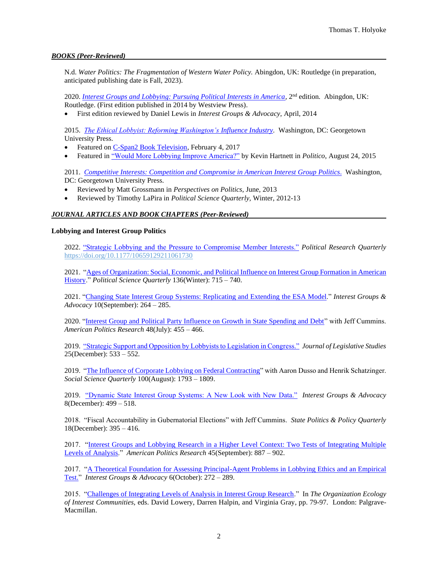## *BOOKS (Peer-Reviewed)*

N.d. *Water Politics: The Fragmentation of Western Water Policy.* Abingdon, UK: Routledge (in preparation, anticipated publishing date is Fall, 2023).

2020. *[Interest Groups and Lobbying: Pursuing Political Interests in America,](https://www.routledge.com/Interest-Groups-and-Lobbying-Pursuing-Political-Interests-in-America/Holyoke/p/book/9780813345819)* 2<sup>nd</sup> edition. Abingdon, UK: Routledge. (First edition published in 2014 by Westview Press).

• First edition reviewed by Daniel Lewis in *Interest Groups & Advocacy,* April, 2014

2015. *[The Ethical Lobbyist: Reforming Washington's](http://press.georgetown.edu/book/georgetown/ethical-lobbyist) Influence Industry.* Washington, DC: Georgetown University Press.

- Featured on [C-Span2 Book Television,](https://www.c-span.org/video/?423502-1/the-ethical-lobbyist) February 4, 2017
- Featured in ["Would More Lobbying Improve America?"](https://www.politico.com/agenda/story/2015/08/would-more-lobbying-improve-america-000206) by Kevin Hartnett in *Politico*, August 24, 2015

2011. *[Competitive Interests: Competition and Compromise in American Interest](http://press.georgetown.edu/book/georgetown/competitive-interests) Group Politics*. Washington, DC: Georgetown University Press.

- Reviewed by Matt Grossmann in *Perspectives on Politics*, June, 2013
- Reviewed by Timothy LaPira in *Political Science Quarterly,* Winter, 2012-13

## *JOURNAL ARTICLES AND BOOK CHAPTERS (Peer-Reviewed)*

## **Lobbying and Interest Group Politics**

2022. ["Strategic Lobbying and the Pressure to Compromise Member Interests."](https://thomasholyoke.files.wordpress.com/2021/11/strategic-lobbying-and-compromising-member-interests.pdf) *Political Research Quarterly*  <https://doi.org/10.1177/10659129211061730>

2021. ["Ages of Organization: Social, Economic, and Political Influence on](https://thomasholyoke.files.wordpress.com/2021/06/ages-of-organization.pdf) Interest Group Formation in American [History.](https://thomasholyoke.files.wordpress.com/2021/06/ages-of-organization.pdf)" *Political Science Quarterly* 136(Winter): 715 – 740.

2021. ["Changing State Interest Group Systems: Replicating and Extending](https://thomasholyoke.files.wordpress.com/2021/06/changing-state-interest-group-sytstems.pdf) the ESA Model." *Interest Groups & Advocacy* 10(September): 264 – 285.

2020. ["Interest Group and Political Party Influence on Growth in State Spending and Debt"](https://thomasholyoke.files.wordpress.com/2021/06/the-influence-of-interest-group-and-party-competition-on-state-spending-and-debt.pdf) with Jeff Cummins. *American Politics Research* 48(July): 455 – 466.

2019. ["Strategic Support and Opposition by Lobbyists to Legislation in Congress."](https://thomasholyoke.files.wordpress.com/2021/06/strategic-lobbying-to-support-or-oppose-legislation-in-congress.pdf) *Journal of Legislative Studies* 25(December): 533 – 552.

2019. ["The Influence of Corporate Lobbying on Federal Contracting"](https://thomasholyoke.files.wordpress.com/2021/06/the-influence-of-corporate-lobbying-on-federal-contracting.pdf) with Aaron Dusso and Henrik Schatzinger. *Social Science Quarterly* 100(August): 1793 – 1809.

2019. ["Dynamic State Interest Group Systems: A New Look with New Data."](https://link.springer.com/epdf/10.1057/s41309-019-00058-9?author_access_token=SOOj7j7_rK47IjCglw74XFxOt48VBPO10Uv7D6sAgHvHGQbiDz-6BBbGtFcwtPDGt65wlOiLHSUDebTJrOYweLZja611G3dnXmK2Y3-6QJbr1pzLVyrUDUNrNRGF5pn_1a6Hx3SbEDwfiydYHLjmDw%3D%3D) *Interest Groups & Advocacy*  8(December): 499 – 518.

2018. "Fiscal Accountability in Gubernatorial Elections" with Jeff Cummins. *State Politics & Policy Quarterly*  18(December): 395 – 416.

2017. ["Interest Groups and Lobbying Research in a Higher Level Context: Two Tests of Integrating Multiple](https://thomasholyoke.files.wordpress.com/2021/06/interest-groups-and-lobbying-research-in-a-higher-level-context.pdf)  [Levels of Analysis.](https://thomasholyoke.files.wordpress.com/2021/06/interest-groups-and-lobbying-research-in-a-higher-level-context.pdf)" *American Politics Research* 45(September): 887 – 902.

2017. ["A Theoretical Foundation for Assessing Principal-Agent Problems in Lobbying Ethics and an Empirical](https://thomasholyoke.files.wordpress.com/2021/06/a-theoretical-foundation-for-assessing-principal-agent-problems-in-lobbying.pdf)  [Test."](https://thomasholyoke.files.wordpress.com/2021/06/a-theoretical-foundation-for-assessing-principal-agent-problems-in-lobbying.pdf) *Interest Groups & Advocacy* 6(October): 272 – 289.

2015. ["Challenges of Integrating Levels of Analysis in Interest Group Research.](https://thomasholyoke.files.wordpress.com/2021/06/challenges-of-integrating-levels-of-analysis-in-interest-group-research.pdf)" In *The Organization Ecology of Interest Communities*, eds. David Lowery, Darren Halpin, and Virginia Gray, pp. 79-97. London: Palgrave-Macmillan.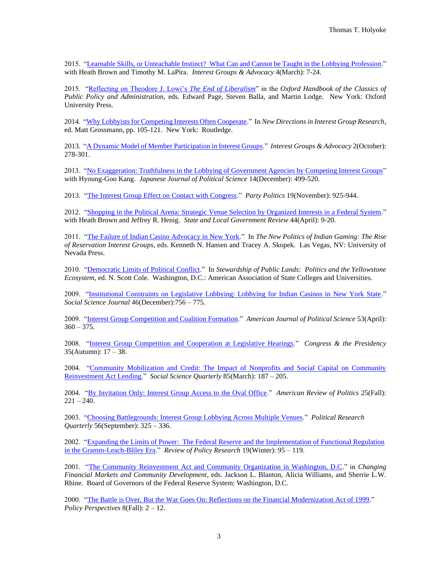2015. ["Learnable Skills, or Unteachable Instinct? What Can and Cannot be Taught in the Lobbying Profession.](https://thomasholyoke.files.wordpress.com/2021/06/learnable-skills-or-unteachable-instinct-what-can-and-cannot-be-taught-in-the-lobbying-profession.pdf)" with Heath Brown and Timothy M. LaPira. *Interest Groups & Advocacy* 4(March): 7-24.

2015. ["Reflecting on Theodore J. Lowi's](https://thomasholyoke.files.wordpress.com/2021/06/lowis-republic-legacies-of-the-end-of-liberalism.pdf) *The End of Liberalism*" in the *Oxford Handbook of the Classics of Public Policy and Administration,* eds. Edward Page, Steven Balla, and Martin Lodge. New York: Oxford University Press.

2014. ["Why Lobbyists for Competing Interests Often Cooperate.](https://thomasholyoke.files.wordpress.com/2021/06/why-lobbyists-for-competing-interest-groups-sometimes-cooperate.pdf)" In *New Directions in Interest Group Research*, ed. Matt Grossmann, pp. 105-121. New York: Routledge.

2013. ["A Dynamic Model of Member Participation in Interest Groups.](https://thomasholyoke.files.wordpress.com/2021/06/a-dynamic-model-of-member-participation-in-interest-groups.pdf)" *Interest Groups & Advocacy* 2(October): 278-301.

2013. ["No Exaggeration: Truthfulness in the Lobbying of Government Agencies by Competing Interest Groups"](https://thomasholyoke.files.wordpress.com/2021/06/no-exaggeration-truthfulness-in-the-lobbying-of-government-agencies-by-competing-interest-groups.pdf) with Hyoung-Goo Kang. *Japanese Journal of Political Science* 14(December): 499-520.

2013. ["The Interest Group Effect on Contact with Congress.](https://thomasholyoke.files.wordpress.com/2021/06/the-interest-group-effect-on-contact-with-congress.pdf)" *Party Politics* 19(November): 925-944.

2012. ["Shopping in the Political Arena: Strategic Venue Selection by Organized Interests in a Federal System.](https://thomasholyoke.files.wordpress.com/2021/06/shopping-in-the-political-arena.pdf)" with Heath Brown and Jeffrey R. Henig. *State and Local Government Review* 44(April): 9-20.

2011. ["The Failure of Indian Casino Advocacy in New York.](https://thomasholyoke.files.wordpress.com/2021/06/the-failure-of-indian-casino-advocacy-in-new-york.pdf)" In *The New Politics of Indian Gaming: The Rise of Reservation Interest Groups*, eds. Kenneth N. Hansen and Tracey A. Skopek. Las Vegas, NV: University of Nevada Press.

2010. ["Democratic Limits of Political Conflict.](https://thomasholyoke.files.wordpress.com/2021/06/democratic-limits-of-political-conflict.pdf)" In *Stewardship of Public Lands: Politics and the Yellowstone Ecosystem*, ed. N. Scott Cole. Washington, D.C.: American Association of State Colleges and Universities.

2009. ["Institutional Constraints on Legislative Lobbying: Lobbying for Indian Casinos in New York State.](https://thomasholyoke.files.wordpress.com/2021/06/institutional-constraints-on-legislative-lobbying.pdf)" *Social Science Journal* 46(December):756 – 775.

2009. ["Interest Group Competition and Coalition Formation.](https://thomasholyoke.files.wordpress.com/2021/06/interest-group-competition-and-coalition-formation.pdf)" *American Journal of Political Science* 53(April):  $360 - 375.$ 

2008. ["Interest Group Competition and Cooperation at Legislative Hearings.](https://thomasholyoke.files.wordpress.com/2021/06/interest-group-competition-and-cooperation-at-legislative-hearings.pdf)" *Congress & the Presidency* 35(Autumn): 17 – 38.

2004. ["Community Mobilization and Credit: The Impact of Nonprofits and Social Capital on Community](https://thomasholyoke.files.wordpress.com/2021/06/community-mobilization-and-credit.pdf)  [Reinvestment Act Lending.](https://thomasholyoke.files.wordpress.com/2021/06/community-mobilization-and-credit.pdf)" *Social Science Quarterly* 85(March): 187 – 205.

2004. ["By Invitation Only: Interest Group Access to the Oval Office."](https://thomasholyoke.files.wordpress.com/2021/06/apr.pdf) *American Review of Politics* 25(Fall):  $221 - 240.$ 

2003. ["Choosing Battlegrounds: Interest Group Lobbying Across Multiple Venues."](https://thomasholyoke.files.wordpress.com/2021/06/choosing-battlegrounds.pdf) *Political Research Quarterly* 56(September): 325 – 336.

2002. "Expanding the Limits of Power: The Federal Reserve and the Implementation of Functional Regulation [in the Gramm-Leach-Bliley Era."](https://thomasholyoke.files.wordpress.com/2021/06/glb-paper.pdf) *Review of Policy Research* 19(Winter): 95 – 119.

2001. ["The Community Reinvestment Act and Community Organization in Washington, D.C.](https://thomasholyoke.files.wordpress.com/2021/06/fed-paper.pdf)" in *Changing Financial Markets and Community Development*, eds. Jackson L. Blanton, Alicia Williams, and Sherrie L.W. Rhine. Board of Governors of the Federal Reserve System: Washington, D.C.

2000. ["The Battle is Over, But the War Goes On: Reflections on the Financial Modernization Act of 1999.](https://thomasholyoke.files.wordpress.com/2021/06/policy-perspectives.pdf)" *Policy Perspectives* 8(Fall): 2 – 12.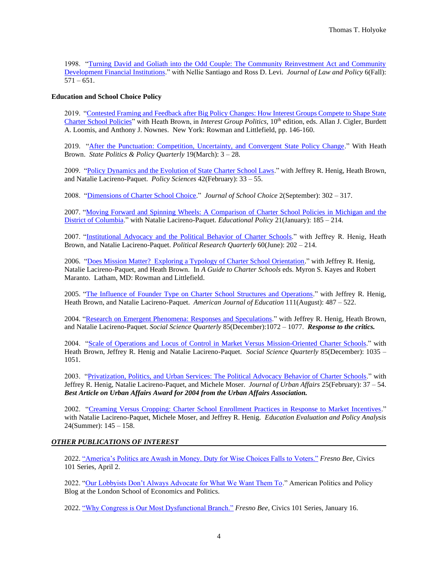1998. ["Turning David and Goliath into the Odd Couple: The Community Reinvestment Act and Community](https://thomasholyoke.files.wordpress.com/2021/06/turning-david-and-goliath-into-the-odd-couple.pdf)  [Development Financial Institutions.](https://thomasholyoke.files.wordpress.com/2021/06/turning-david-and-goliath-into-the-odd-couple.pdf)" with Nellie Santiago and Ross D. Levi. *Journal of Law and Policy* 6(Fall):  $571 - 651.$ 

## **Education and School Choice Policy**

2019. ["Contested Framing and Feedback after Big Policy Changes: How Interest Groups Compete to Shape State](https://thomasholyoke.files.wordpress.com/2021/06/contested-framing-and-feedback-after-big-policy-changes.pdf)  [Charter School Policies"](https://thomasholyoke.files.wordpress.com/2021/06/contested-framing-and-feedback-after-big-policy-changes.pdf) with Heath Brown, in *Interest Group Politics*, 10<sup>th</sup> edition, eds. Allan J. Cigler, Burdett A. Loomis, and Anthony J. Nownes. New York: Rowman and Littlefield, pp. 146-160.

2019. ["After the Punctuation: Competition, Uncertainty, and Convergent State Policy Change.](https://thomasholyoke.files.wordpress.com/2021/06/after-the-punctuation.pdf)" With Heath Brown. *State Politics & Policy Quarterly* 19(March): 3 – 28.

2009. ["Policy Dynamics and the Evolution of State Charter School Laws."](https://thomasholyoke.files.wordpress.com/2021/06/policy-dynamics-and-the-evolution-of-state-charter-school-laws.pdf) with Jeffrey R. Henig, Heath Brown, and Natalie Lacireno-Paquet. *Policy Sciences* 42(February): 33 – 55.

2008. ["Dimensions of Charter School Choice.](https://thomasholyoke.files.wordpress.com/2021/06/dimensions-of-charter-school-choice.pdf)" *Journal of School Choice* 2(September): 302 – 317.

2007. ["Moving Forward and Spinning Wheels: A Comparison of Charter School Policies](https://thomasholyoke.files.wordpress.com/2021/06/moving-forward-and-spinning-wheels.pdf) in Michigan and the [District of Columbia.](https://thomasholyoke.files.wordpress.com/2021/06/moving-forward-and-spinning-wheels.pdf)" with Natalie Lacireno-Paquet. *Educational Policy* 21(January): 185 – 214.

2007. ["Institutional Advocacy and the Political Behavior of Charter Schools.](https://thomasholyoke.files.wordpress.com/2021/06/institutional-advocacy-and-the-political-behavior-of-charter-schools.pdf)" with Jeffrey R. Henig, Heath Brown, and Natalie Lacireno-Paquet. *Political Research Quarterly* 60(June): 202 – 214.

2006. ["Does Mission Matter? Exploring a Typology of Charter School Orientation.](https://thomasholyoke.files.wordpress.com/2021/06/does-mission-matter.pdf)" with Jeffrey R. Henig, Natalie Lacireno-Paquet, and Heath Brown. In *A Guide to Charter Schools* eds. Myron S. Kayes and Robert Maranto. Latham, MD: Rowman and Littlefield.

2005. "The Influence of Founder [Type on Charter School Structures and Operations.](https://thomasholyoke.files.wordpress.com/2021/06/the-influence-of-founder-type-on-charter-school-structures-and-operations.pdf)" with Jeffrey R. Henig, Heath Brown, and Natalie Lacireno-Paquet. *American Journal of Education* 111(August): 487 – 522.

2004. ["Research on Emergent Phenomena: Responses and Speculations.](https://thomasholyoke.files.wordpress.com/2021/06/research-on-emergent-phenomenon.pdf)" with Jeffrey R. Henig, Heath Brown, and Natalie Lacireno-Paquet. *Social Science Quarterly* 85(December):1072 – 1077. *Response to the critics.*

2004. ["Scale of Operations and Locus of Control in Market Versus](https://thomasholyoke.files.wordpress.com/2021/06/scale-of-operations-and-locus-of-control-in-market-versus-mission-oriented-charter-schools.pdf) Mission-Oriented Charter Schools." with Heath Brown, Jeffrey R. Henig and Natalie Lacireno-Paquet. *Social Science Quarterly* 85(December): 1035 – 1051.

2003. ["Privatization, Politics, and Urban Services: The Political Advocacy Behavior of Charter Schools.](https://thomasholyoke.files.wordpress.com/2021/06/privatization-politics-and-urban-services.pdf)" with Jeffrey R. Henig, Natalie Lacireno-Paquet, and Michele Moser. *Journal of Urban Affairs* 25(February): 37 – 54. *Best Article on Urban Affairs Award for 2004 from the Urban Affairs Association.*

2002. ["Creaming Versus Cropping: Charter School Enrollment Practices in Response to Market Incentives.](https://thomasholyoke.files.wordpress.com/2021/06/creaming-versus-cropping.pdf)" with Natalie Lacireno-Paquet, Michele Moser, and Jeffrey R. Henig. *Education Evaluation and Policy Analysis* 24(Summer): 145 – 158.

## *OTHER PUBLICATIONS OF INTEREST*

2022. ["America's Politics are Awash in Money. Duty for Wise Choices Falls to](https://www.fresnobee.com/opinion/readers-opinion/article260024905.html) Voters." *Fresno Bee,* Civics 101 Series, April 2.

2022. ["Our Lobbyists Don't Always Advocate for What We Want Them To.](https://blogs.lse.ac.uk/usappblog/2022/01/21/our-lobbyists-dont-always-advocate-for-what-we-want-them-to/)" American Politics and Policy Blog at the London School of Economics and Politics.

2022. ["Why Congress is Our Most Dysfunctional Branch."](https://www.fresnobee.com/opinion/readers-opinion/article257293927.html) *Fresno Bee,* Civics 101 Series, January 16.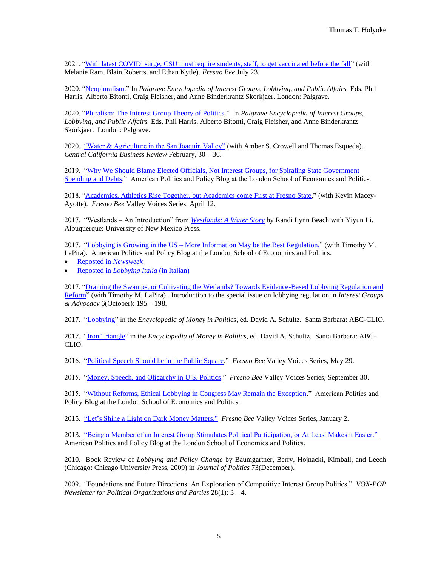2021. ["With latest COVID surge, CSU must require students, staff, to get vaccinated before the fall"](https://www.fresnobee.com/opinion/readers-opinion/article252967388.html) (with Melanie Ram, Blain Roberts, and Ethan Kytle). *Fresno Bee* July 23.

2020. ["Neopluralism.](https://thomasholyoke.files.wordpress.com/2021/09/neopluralism-1.pdf)" In *Palgrave Encyclopedia of Interest Groups, Lobbying, and Public Affairs.* Eds. Phil Harris, Alberto Bitonti, Craig Fleisher, and Anne Binderkrantz Skorkjaer. London: Palgrave.

2020. ["Pluralism: The Interest Group Theory of Politics.](https://thomasholyoke.files.wordpress.com/2021/09/pluralism.pdf)" In *Palgrave Encyclopedia of Interest Groups, Lobbying, and Public Affairs.* Eds. Phil Harris, Alberto Bitonti, Craig Fleisher, and Anne Binderkrantz Skorkjaer. London: Palgrave.

2020. ["Water & Agriculture in the San Joaquin Valley"](http://www.fresnostate.edu/craig/ubc/documents/cencal/2020/CCBR2020_WaterAg.pdf) (with Amber S. Crowell and Thomas Esqueda). *Central California Business Review* February, 30 – 36.

2019. "Why We Should Blame Elected Officials, Not Interest Groups, for Spiraling State Government [Spending and Debts.](https://blogs.lse.ac.uk/usappblog/2019/10/24/why-we-should-blame-elected-officials-not-interest-groups-for-spiraling-state-government-spending-and-debts/)" American Politics and Policy Blog at the London School of Economics and Politics.

2018. ["Academics, Athletics Rise Together, but Academics come First at Fresno State,](https://www.fresnobee.com/opinion/readers-opinion/article208830994.html)" (with Kevin Macey-Ayotte). *Fresno Bee* Valley Voices Series, April 12.

2017. "Westlands – An Introduction" from *[Westlands: A Water Story](https://unmpress.com/books/westlands/9780826358363)* by Randi Lynn Beach with Yiyun Li. Albuquerque: University of New Mexico Press.

2017. "Lobbying is Growing in the US – [More Information May be the Best Regulation,"](https://blogs.lse.ac.uk/usappblog/2017/10/11/lobbying-is-growing-in-the-us-more-information-may-be-the-best-regulation/) (with Timothy M. LaPira). American Politics and Policy Blog at the London School of Economics and Politics.

- [Reposted in](https://www.newsweek.com/drain-swamp-dc-lobbyists-go-wild-over-tax-reform-683342) *Newsweek*
- Reposted in *[Lobbying Italia](http://m.lobbyingitalia.com/2017/10/lobbying-usa-informazioni-regolamentazione-lse/)* (in Italian)

2017. "Draining the Swamps, or Cultivating the Wetlands? Towards Evidence-Based Lobbying Regulation and [Reform"](https://thomasholyoke.files.wordpress.com/2021/07/opening-to-special-iga-issue.pdf) (with Timothy M. LaPira). Introduction to the special issue on lobbying regulation in *Interest Groups & Advocacy* 6(October): 195 – 198.

2017. ["Lobbying"](https://thomasholyoke.files.wordpress.com/2021/07/lobbying.pdf) in the *Encyclopedia of Money in Politics,* ed. David A. Schultz. Santa Barbara: ABC-CLIO.

2017. ["Iron Triangle"](https://thomasholyoke.files.wordpress.com/2021/07/iron-triangle.pdf) in the *Encyclopedia of Money in Politics*, ed. David A. Schultz. Santa Barbara: ABC-CLIO.

2016. ["Political Speech Should be in the Public Square.](https://www.fresnobee.com/opinion/readers-opinion/article78600012.html)" *Fresno Bee* Valley Voices Series, May 29.

2015. ["Money, Speech, and Oligarchy in U.S. Politics.](https://www.fresnobee.com/opinion/readers-opinion/article36972897.html)" *Fresno Bee* Valley Voices Series, September 30.

2015. ["Without Reforms, Ethical Lobbying in Congress May Remain the Exception.](https://blogs.lse.ac.uk/usappblog/2015/05/19/without-reforms-ethical-lobbying-in-congress-may-remain-the-exception/)" American Politics and Policy Blog at the London School of Economics and Politics.

2015. ["Let's Shine a Light on](https://www.fresnobee.com/opinion/article19528986.html) Dark Money Matters." *Fresno Bee* Valley Voices Series, January 2.

2013. "Being a Member of an Interest Group Stimulates Political Participation, or At Least Makes it Easier." American Politics and Policy Blog at the London School of Economics and Politics.

2010. Book Review of *Lobbying and Policy Change* by Baumgartner, Berry, Hojnacki, Kimball, and Leech (Chicago: Chicago University Press, 2009) in *Journal of Politics* 73(December).

2009. "Foundations and Future Directions: An Exploration of Competitive Interest Group Politics." *VOX-POP Newsletter for Political Organizations and Parties* 28(1): 3 – 4.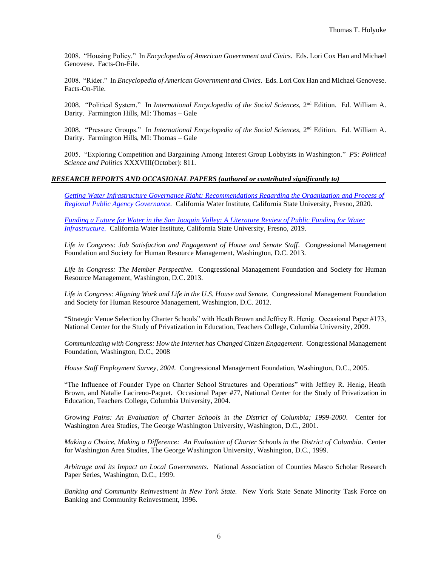2008. "Housing Policy." In *Encyclopedia of American Government and Civics.* Eds. Lori Cox Han and Michael Genovese. Facts-On-File.

2008. "Rider." In *Encyclopedia of American Government and Civics*. Eds. Lori Cox Han and Michael Genovese. Facts-On-File.

2008. "Political System." In *International Encyclopedia of the Social Sciences*, 2<sup>nd</sup> Edition. Ed. William A. Darity. Farmington Hills, MI: Thomas – Gale

2008. "Pressure Groups." In *International Encyclopedia of the Social Sciences*, 2<sup>nd</sup> Edition. Ed. William A. Darity. Farmington Hills, MI: Thomas – Gale

2005. "Exploring Competition and Bargaining Among Interest Group Lobbyists in Washington." *PS: Political Science and Politics* XXXVIII(October): 811.

## *RESEARCH REPORTS AND OCCASIONAL PAPERS (authored or contributed significantly to)*

*[Getting Water Infrastructure Governance Right: Recommendations Regarding the Organization and Process of](http://www.californiawater.org/wp-content/uploads/2020/07/Getting-Water-Infrastruture-Governance-Right-1.pdf)  [Regional Public Agency Governance.](http://www.californiawater.org/wp-content/uploads/2020/07/Getting-Water-Infrastruture-Governance-Right-1.pdf)* California Water Institute, California State University, Fresno, 2020.

*[Funding a Future for Water in the San Joaquin Valley: A Literature Review of Public Funding for Water](http://www.californiawater.org/wp-content/uploads/2019/11/Funding-a-Future-for-Water-in-the-SJV.pdf)  [Infrastructure.](http://www.californiawater.org/wp-content/uploads/2019/11/Funding-a-Future-for-Water-in-the-SJV.pdf)* California Water Institute, California State University, Fresno, 2019.

*Life in Congress: Job Satisfaction and Engagement of House and Senate Staff*. Congressional Management Foundation and Society for Human Resource Management, Washington, D.C. 2013.

*Life in Congress: The Member Perspective.* Congressional Management Foundation and Society for Human Resource Management, Washington, D.C. 2013.

*Life in Congress: Aligning Work and Life in the U.S. House and Senate.* Congressional Management Foundation and Society for Human Resource Management, Washington, D.C. 2012.

"Strategic Venue Selection by Charter Schools" with Heath Brown and Jeffrey R. Henig. Occasional Paper #173, National Center for the Study of Privatization in Education, Teachers College, Columbia University, 2009.

*Communicating with Congress: How the Internet has Changed Citizen Engagement.* Congressional Management Foundation, Washington, D.C., 2008

*House Staff Employment Survey, 2004.* Congressional Management Foundation, Washington, D.C., 2005.

"The Influence of Founder Type on Charter School Structures and Operations" with Jeffrey R. Henig, Heath Brown, and Natalie Lacireno-Paquet. Occasional Paper #77, National Center for the Study of Privatization in Education, Teachers College, Columbia University, 2004.

*Growing Pains: An Evaluation of Charter Schools in the District of Columbia; 1999-2000*. Center for Washington Area Studies, The George Washington University, Washington, D.C., 2001.

*Making a Choice, Making a Difference: An Evaluation of Charter Schools in the District of Columbia*. Center for Washington Area Studies, The George Washington University, Washington, D.C., 1999.

*Arbitrage and its Impact on Local Governments.* National Association of Counties Masco Scholar Research Paper Series, Washington, D.C., 1999.

*Banking and Community Reinvestment in New York State.* New York State Senate Minority Task Force on Banking and Community Reinvestment, 1996.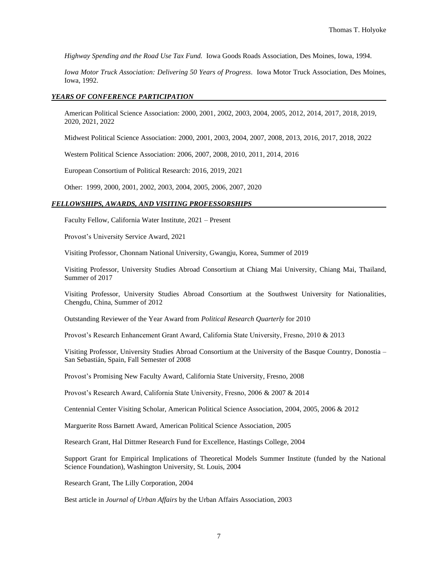*Highway Spending and the Road Use Tax Fund.* Iowa Goods Roads Association, Des Moines, Iowa, 1994.

*Iowa Motor Truck Association: Delivering 50 Years of Progress*. Iowa Motor Truck Association, Des Moines, Iowa, 1992.

#### *YEARS OF CONFERENCE PARTICIPATION*

American Political Science Association: 2000, 2001, 2002, 2003, 2004, 2005, 2012, 2014, 2017, 2018, 2019, 2020, 2021, 2022

Midwest Political Science Association: 2000, 2001, 2003, 2004, 2007, 2008, 2013, 2016, 2017, 2018, 2022

Western Political Science Association: 2006, 2007, 2008, 2010, 2011, 2014, 2016

European Consortium of Political Research: 2016, 2019, 2021

Other: 1999, 2000, 2001, 2002, 2003, 2004, 2005, 2006, 2007, 2020

#### *FELLOWSHIPS, AWARDS, AND VISITING PROFESSORSHIPS*

Faculty Fellow, California Water Institute, 2021 – Present

Provost's University Service Award, 2021

Visiting Professor, Chonnam National University, Gwangju, Korea, Summer of 2019

Visiting Professor, University Studies Abroad Consortium at Chiang Mai University, Chiang Mai, Thailand, Summer of 2017

Visiting Professor, University Studies Abroad Consortium at the Southwest University for Nationalities, Chengdu, China, Summer of 2012

Outstanding Reviewer of the Year Award from *Political Research Quarterly* for 2010

Provost's Research Enhancement Grant Award, California State University, Fresno, 2010 & 2013

Visiting Professor, University Studies Abroad Consortium at the University of the Basque Country, Donostia – San Sebastián, Spain, Fall Semester of 2008

Provost's Promising New Faculty Award, California State University, Fresno, 2008

Provost's Research Award, California State University, Fresno, 2006 & 2007 & 2014

Centennial Center Visiting Scholar, American Political Science Association, 2004, 2005, 2006 & 2012

Marguerite Ross Barnett Award, American Political Science Association, 2005

Research Grant, Hal Dittmer Research Fund for Excellence, Hastings College, 2004

Support Grant for Empirical Implications of Theoretical Models Summer Institute (funded by the National Science Foundation), Washington University, St. Louis, 2004

Research Grant, The Lilly Corporation, 2004

Best article in *Journal of Urban Affairs* by the Urban Affairs Association, 2003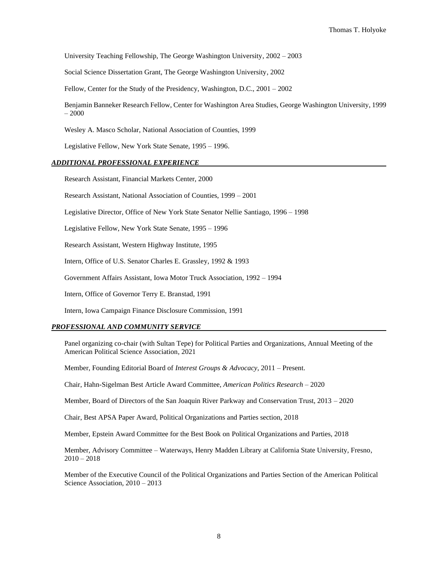University Teaching Fellowship, The George Washington University, 2002 – 2003

Social Science Dissertation Grant, The George Washington University, 2002

Fellow, Center for the Study of the Presidency, Washington, D.C., 2001 – 2002

Benjamin Banneker Research Fellow, Center for Washington Area Studies, George Washington University, 1999 – 2000

Wesley A. Masco Scholar, National Association of Counties, 1999

Legislative Fellow, New York State Senate, 1995 – 1996.

#### *ADDITIONAL PROFESSIONAL EXPERIENCE*

Research Assistant, Financial Markets Center, 2000

Research Assistant, National Association of Counties, 1999 – 2001

Legislative Director, Office of New York State Senator Nellie Santiago, 1996 – 1998

Legislative Fellow, New York State Senate, 1995 – 1996

Research Assistant, Western Highway Institute, 1995

Intern, Office of U.S. Senator Charles E. Grassley, 1992 & 1993

Government Affairs Assistant, Iowa Motor Truck Association, 1992 – 1994

Intern, Office of Governor Terry E. Branstad, 1991

Intern, Iowa Campaign Finance Disclosure Commission, 1991

#### *PROFESSIONAL AND COMMUNITY SERVICE*

Panel organizing co-chair (with Sultan Tepe) for Political Parties and Organizations, Annual Meeting of the American Political Science Association, 2021

Member, Founding Editorial Board of *Interest Groups & Advocacy*, 2011 – Present.

Chair, Hahn-Sigelman Best Article Award Committee, *American Politics Research* – 2020

Member, Board of Directors of the San Joaquin River Parkway and Conservation Trust, 2013 – 2020

Chair, Best APSA Paper Award, Political Organizations and Parties section, 2018

Member, Epstein Award Committee for the Best Book on Political Organizations and Parties, 2018

Member, Advisory Committee – Waterways, Henry Madden Library at California State University, Fresno,  $2010 - 2018$ 

Member of the Executive Council of the Political Organizations and Parties Section of the American Political Science Association, 2010 – 2013